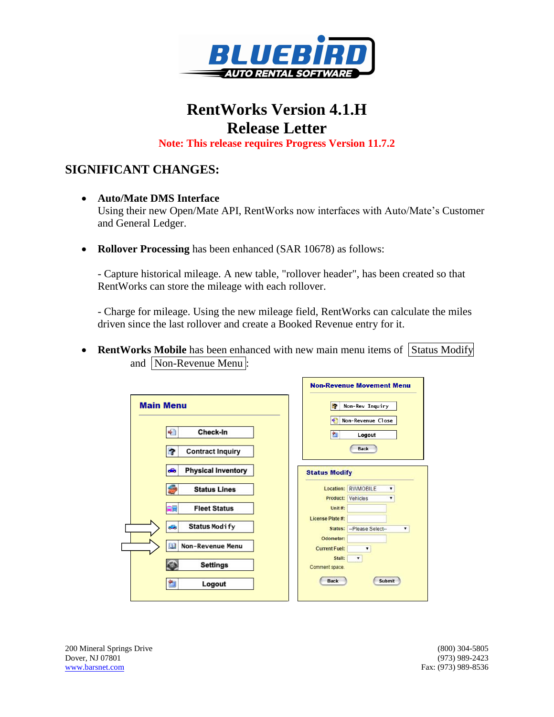

# **RentWorks Version 4.1.H Release Letter**

**Note: This release requires Progress Version 11.7.2**

### **SIGNIFICANT CHANGES:**

- **Auto/Mate DMS Interface** Using their new Open/Mate API, RentWorks now interfaces with Auto/Mate's Customer and General Ledger.
- **Rollover Processing** has been enhanced (SAR 10678) as follows:

- Capture historical mileage. A new table, "rollover header", has been created so that RentWorks can store the mileage with each rollover.

- Charge for mileage. Using the new mileage field, RentWorks can calculate the miles driven since the last rollover and create a Booked Revenue entry for it.

• **RentWorks Mobile** has been enhanced with new main menu items of Status Modify and Non-Revenue Menu :

|                                      |  |                          | <b>Non-Revenue Movement Menu</b> |               |
|--------------------------------------|--|--------------------------|----------------------------------|---------------|
| <b>Main Menu</b>                     |  | e                        | Non-Rev Inquiry                  |               |
|                                      |  | ÷                        | Non-Revenue Close                |               |
| Check-In<br>÷                        |  | 白                        | Logout                           |               |
| r.<br><b>Contract Inquiry</b>        |  |                          | <b>Back</b>                      |               |
| <b>Physical Inventory</b><br>÷       |  | <b>Status Modify</b>     |                                  |               |
| <b>Status Lines</b>                  |  |                          | Location: RWMOBILE               | ۰             |
| ≘⊟<br><b>Fleet Status</b>            |  | Unit #:                  | <b>Product: Vehicles</b>         | ۰             |
|                                      |  | License Plate #:         |                                  |               |
| <b>Status Modify</b><br>$\mathbb{Z}$ |  | Status:                  | --Please Select-                 | ۷             |
|                                      |  | Odometer:                |                                  |               |
| <b>B</b><br>Non-Revenue Menu         |  | <b>Current Fuel:</b>     |                                  |               |
| <b>Settings</b>                      |  | Stall:<br>Comment space. | $\pmb{\mathrm{v}}$               |               |
| Logout<br>白                          |  | <b>Back</b>              |                                  | <b>Submit</b> |
|                                      |  |                          |                                  |               |

200 Mineral Springs Drive (800) 304-5805 Dover, NJ 07801 (973) 989-2423 [www.barsnet.com](http://www.barsnet.com/) Fax: (973) 989-8536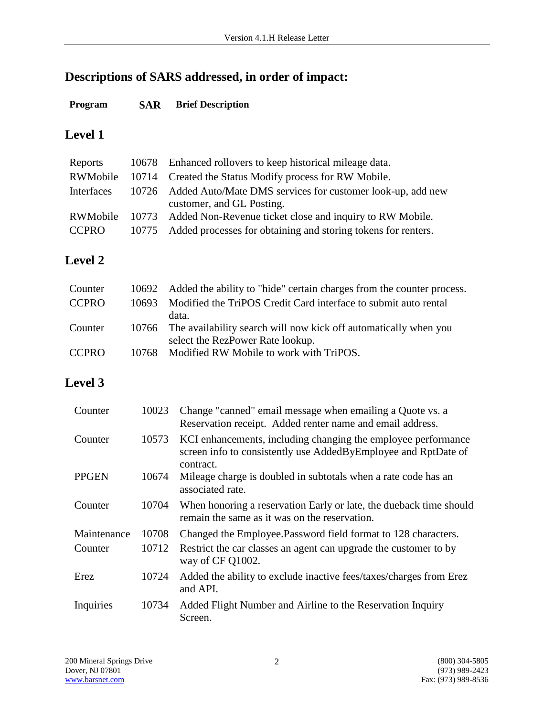# **Descriptions of SARS addressed, in order of impact:**

#### **Program SAR Brief Description**

## **Level 1**

| Reports         | 10678 Enhanced rollovers to keep historical mileage data.           |
|-----------------|---------------------------------------------------------------------|
|                 | RWMobile 10714 Created the Status Modify process for RW Mobile.     |
| Interfaces      | 10726 Added Auto/Mate DMS services for customer look-up, add new    |
|                 | customer, and GL Posting.                                           |
| <b>RWMobile</b> | 10773 Added Non-Revenue ticket close and inquiry to RW Mobile.      |
| <b>CCPRO</b>    | 10775 Added processes for obtaining and storing tokens for renters. |
|                 |                                                                     |

# **Level 2**

| Counter      | 10692 Added the ability to "hide" certain charges from the counter process. |
|--------------|-----------------------------------------------------------------------------|
| <b>CCPRO</b> | 10693 Modified the TriPOS Credit Card interface to submit auto rental       |
|              | data.                                                                       |
| Counter      | 10766 The availability search will now kick off automatically when you      |
|              | select the RezPower Rate lookup.                                            |
| <b>CCPRO</b> | 10768 Modified RW Mobile to work with TriPOS.                               |

# **Level 3**

| Counter      | 10023 | Change "canned" email message when emailing a Quote vs. a<br>Reservation receipt. Added renter name and email address.                       |
|--------------|-------|----------------------------------------------------------------------------------------------------------------------------------------------|
| Counter      | 10573 | KCI enhancements, including changing the employee performance<br>screen info to consistently use AddedByEmployee and RptDate of<br>contract. |
| <b>PPGEN</b> | 10674 | Mileage charge is doubled in subtotals when a rate code has an<br>associated rate.                                                           |
| Counter      | 10704 | When honoring a reservation Early or late, the dueback time should<br>remain the same as it was on the reservation.                          |
| Maintenance  | 10708 | Changed the Employee. Password field format to 128 characters.                                                                               |
| Counter      | 10712 | Restrict the car classes an agent can upgrade the customer to by<br>way of CF Q1002.                                                         |
| Erez         | 10724 | Added the ability to exclude inactive fees/taxes/charges from Erez<br>and API.                                                               |
| Inquiries    | 10734 | Added Flight Number and Airline to the Reservation Inquiry<br>Screen.                                                                        |